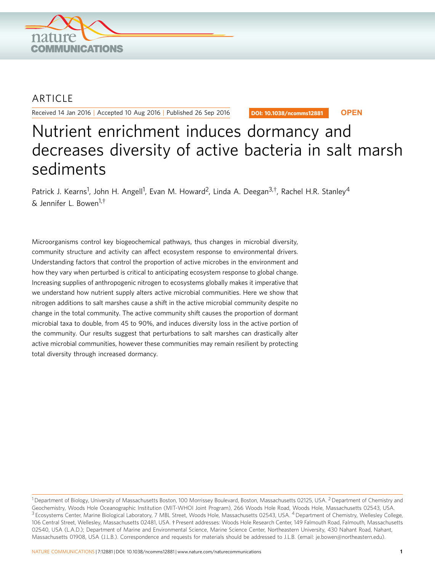

## **ARTICLE**

Received 14 Jan 2016 | Accepted 10 Aug 2016 | Published 26 Sep 2016

DOI: 10.1038/ncomms12881 **OPEN**

# Nutrient enrichment induces dormancy and decreases diversity of active bacteria in salt marsh sediments

Patrick J. Kearns<sup>1</sup>, John H. Angell<sup>1</sup>, Evan M. Howard<sup>2</sup>, Linda A. Deegan<sup>3,†</sup>, Rachel H.R. Stanley<sup>4</sup>  $\kappa$  lennifer L. Bowen<sup>1,†</sup>

Microorganisms control key biogeochemical pathways, thus changes in microbial diversity, community structure and activity can affect ecosystem response to environmental drivers. Understanding factors that control the proportion of active microbes in the environment and how they vary when perturbed is critical to anticipating ecosystem response to global change. Increasing supplies of anthropogenic nitrogen to ecosystems globally makes it imperative that we understand how nutrient supply alters active microbial communities. Here we show that nitrogen additions to salt marshes cause a shift in the active microbial community despite no change in the total community. The active community shift causes the proportion of dormant microbial taxa to double, from 45 to 90%, and induces diversity loss in the active portion of the community. Our results suggest that perturbations to salt marshes can drastically alter active microbial communities, however these communities may remain resilient by protecting total diversity through increased dormancy.

<sup>&</sup>lt;sup>1</sup> Department of Biology, University of Massachusetts Boston, 100 Morrissey Boulevard, Boston, Massachusetts 02125, USA. <sup>2</sup> Department of Chemistry and Geochemistry, Woods Hole Oceanographic Institution (MIT-WHOI Joint Program), 266 Woods Hole Road, Woods Hole, Massachusetts 02543, USA. <sup>3</sup> Ecosystems Center, Marine Biological Laboratory, 7 MBL Street, Woods Hole, Massachusetts 02543, USA. <sup>4</sup> Department of Chemistry, Wellesley College, 106 Central Street, Wellesley, Massachusetts 02481, USA. † Present addresses: Woods Hole Research Center, 149 Falmouth Road, Falmouth, Massachusetts 02540, USA (L.A.D.); Department of Marine and Environmental Science, Marine Science Center, Northeastern University, 430 Nahant Road, Nahant, Massachusetts 01908, USA (J.L.B.). Correspondence and requests for materials should be addressed to J.L.B. (email: [je.bowen@northeastern.edu](mailto:je.bowen@northeastern.edu)).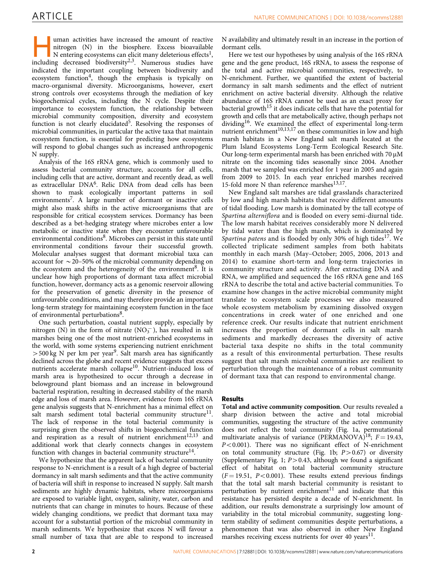uman activities have increased the amount of reactive<br>nitrogen (N) in the biosphere. Excess bioavailable<br>N entering ecosystems can elicit many deleterious effects<sup>1</sup>,<br>including decreased biodiversity<sup>2,3</sup> Numerous studies nitrogen (N) in the biosphere. Excess bioavailable including decreased biodiversity<sup>2,3</sup>. Numerous studies have indicated the important coupling between biodiversity and ecosystem function<sup>4</sup>, though the emphasis is typically on macro-organismal diversity. Microorganisms, however, exert strong controls over ecosystems through the mediation of key biogeochemical cycles, including the N cycle. Despite their importance to ecosystem function, the relationship between microbial community composition, diversity and ecosystem function is not clearly elucidated<sup>5</sup>. Resolving the responses of microbial communities, in particular the active taxa that maintain ecosystem function, is essential for predicting how ecosystems will respond to global changes such as increased anthropogenic N supply.

Analysis of the 16S rRNA gene, which is commonly used to assess bacterial community structure, accounts for all cells, including cells that are active, dormant and recently dead, as well as extracellular DN[A6.](#page-7-0) Relic DNA from dead cells has been shown to mask ecologically important patterns in soil environments<sup>[7](#page-7-0)</sup>. A large number of dormant or inactive cells might also mask shifts in the active microorganisms that are responsible for critical ecosystem services. Dormancy has been described as a bet-hedging strategy where microbes enter a low metabolic or inactive state when they encounter unfavourable environmental conditions<sup>8</sup>. Microbes can persist in this state until environmental conditions favour their successful growth. Molecular analyses suggest that dormant microbial taxa can account for  $\sim$  20–50% of the microbial community depending on the ecosystem and the heterogeneity of the environment<sup>8</sup>. It is unclear how high proportions of dormant taxa affect microbial function, however, dormancy acts as a genomic reservoir allowing for the preservation of genetic diversity in the presence of unfavourable conditions, and may therefore provide an important long-term strategy for maintaining ecosystem function in the face of environmental perturbations<sup>[8](#page-7-0)</sup>.

One such perturbation, coastal nutrient supply, especially by nitrogen (N) in the form of nitrate  $(NO<sub>3</sub><sup>-</sup>)$ , has resulted in salt marshes being one of the most nutrient-enriched ecosystems in the world, with some systems experiencing nutrient enrichment  $>$  500 kg N per km per year<sup>[9](#page-7-0)</sup>. Salt marsh area has significantly declined across the globe and recent evidence suggests that excess nutrients accelerate marsh collapse<sup>10</sup>. Nutrient-induced loss of marsh area is hypothesized to occur through a decrease in belowground plant biomass and an increase in belowground bacterial respiration, resulting in decreased stability of the marsh edge and loss of marsh area. However, evidence from 16S rRNA gene analysis suggests that N-enrichment has a minimal effect on salt marsh sediment total bacterial community structure<sup>11</sup>. The lack of response in the total bacterial community is surprising given the observed shifts in biogeochemical function and respiration as a result of nutrient enrichment<sup>[12,13](#page-7-0)</sup> and additional work that clearly connects changes in ecosystem function with changes in bacterial community structure<sup>14</sup>.

We hypothesize that the apparent lack of bacterial community response to N-enrichment is a result of a high degree of bacterial dormancy in salt marsh sediments and that the active community of bacteria will shift in response to increased N supply. Salt marsh sediments are highly dynamic habitats, where microorganisms are exposed to variable light, oxygen, salinity, water, carbon and nutrients that can change in minutes to hours. Because of these widely changing conditions, we predict that dormant taxa may account for a substantial portion of the microbial community in marsh sediments. We hypothesize that excess N will favour a small number of taxa that are able to respond to increased

N availability and ultimately result in an increase in the portion of dormant cells.

Here we test our hypotheses by using analysis of the 16S rRNA gene and the gene product, 16S rRNA, to assess the response of the total and active microbial communities, respectively, to N-enrichment. Further, we quantified the extent of bacterial dormancy in salt marsh sediments and the effect of nutrient enrichment on active bacterial diversity. Although the relative abundance of 16S rRNA cannot be used as an exact proxy for bacterial growth<sup>[15](#page-7-0)</sup> it does indicate cells that have the potential for growth and cells that are metabolically active, though perhaps not dividing<sup>16</sup>. We examined the effect of experimental long-term nutrient enrichment $10,13,17$  on these communities in low and high marsh habitats in a New England salt marsh located at the Plum Island Ecosystems Long-Term Ecological Research Site. Our long-term experimental marsh has been enriched with 70  $\mu$ M nitrate on the incoming tides seasonally since 2004. Another marsh that we sampled was enriched for 1 year in 2005 and again from 2009 to 2015. In each year enriched marshes received 15-fold more N than reference marshes $^{13,17}$  $^{13,17}$  $^{13,17}$ .

New England salt marshes are tidal grasslands characterized by low and high marsh habitats that receive different amounts of tidal flooding. Low marsh is dominated by the tall ecotype of Spartina alterniflora and is flooded on every semi-diurnal tide. The low marsh habitat receives considerably more N delivered by tidal water than the high marsh, which is dominated by Spartina patens and is flooded by only 30% of high tides<sup>[17](#page-7-0)</sup>. We collected triplicate sediment samples from both habitats monthly in each marsh (May–October; 2005, 2006, 2013 and 2014) to examine short-term and long-term trajectories in community structure and activity. After extracting DNA and RNA, we amplified and sequenced the 16S rRNA gene and 16S rRNA to describe the total and active bacterial communities. To examine how changes in the active microbial community might translate to ecosystem scale processes we also measured whole ecosystem metabolism by examining dissolved oxygen concentrations in creek water of one enriched and one reference creek. Our results indicate that nutrient enrichment increases the proportion of dormant cells in salt marsh sediments and markedly decreases the diversity of active bacterial taxa despite no shifts in the total community as a result of this environmental perturbation. These results suggest that salt marsh microbial communities are resilient to perturbation through the maintenance of a robust community of dormant taxa that can respond to environmental change.

#### Results

Total and active community composition. Our results revealed a sharp division between the active and total microbial communities, suggesting the structure of the active community does not reflect the total community [\(Fig. 1a,](#page-2-0) permutational multivariate analysis of variance (PERMANOVA)<sup>18</sup>;  $F = 19.43$ ,  $P < 0.001$ ). There was no significant effect of N-enrichment on total community structure ([Fig. 1b](#page-2-0);  $P > 0.67$ ) or diversity (Supplementary Fig. 1;  $P > 0.43$ , although we found a significant effect of habitat on total bacterial community structure  $(F = 19.51, P < 0.001)$ . These results extend previous findings that the total salt marsh bacterial community is resistant to perturbation by nutrient enrichment $11$  and indicate that this resistance has persisted despite a decade of N-enrichment. In addition, our results demonstrate a surprisingly low amount of variability in the total microbial community, suggesting longterm stability of sediment communities despite perturbations, a phenomenon that was also observed in other New England marshes receiving excess nutrients for over 40 years $^{11}$  $^{11}$  $^{11}$ .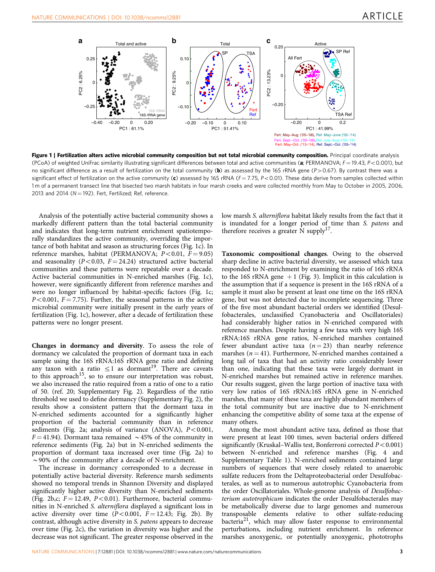<span id="page-2-0"></span>

Figure 1 | Fertilization alters active microbial community composition but not total microbial community composition. Principal coordinate analysis (PCoA) of weighted UniFrac similarity illustrating significant differences between total and active communities (a; PERMANOVA;  $F = 19.43$ ,  $P < 0.001$ ), but no significant difference as a result of fertilization on the total community (b) as assessed by the 16S rRNA gene ( $P > 0.67$ ). By contrast there was a significant effect of fertilization on the active community (c) assessed by 16S rRNA ( $F = 7.75$ ,  $P < 0.01$ ). These data derive from samples collected within 1 m of a permanent transect line that bisected two marsh habitats in four marsh creeks and were collected monthly from May to October in 2005, 2006, 2013 and 2014 ( $N = 192$ ). Fert, Fertilized; Ref, reference.

Analysis of the potentially active bacterial community shows a markedly different pattern than the total bacterial community and indicates that long-term nutrient enrichment spatiotemporally standardizes the active community, overriding the importance of both habitat and season as structuring forces (Fig. 1c). In reference marshes, habitat (PERMANOVA;  $P < 0.01$ ,  $F = 9.05$ ) and seasonality ( $P < 0.03$ ,  $F = 24.24$ ) structured active bacterial communities and these patterns were repeatable over a decade. Active bacterial communities in N-enriched marshes (Fig. 1c), however, were significantly different from reference marshes and were no longer influenced by habitat-specific factors (Fig. 1c;  $P<0.001$ ,  $F = 7.75$ ). Further, the seasonal patterns in the active microbial community were initially present in the early years of fertilization (Fig. 1c), however, after a decade of fertilization these patterns were no longer present.

Changes in dormancy and diversity. To assess the role of dormancy we calculated the proportion of dormant taxa in each sample using the 16S rRNA:16S rRNA gene ratio and defining any taxon with a ratio  $\leq 1$  as dormant<sup>19</sup>. There are caveats to this approach<sup>[15](#page-7-0)</sup>, so to ensure our interpretation was robust, we also increased the ratio required from a ratio of one to a ratio of 50. ([ref. 20](#page-7-0); Supplementary Fig. 2). Regardless of the ratio threshold we used to define dormancy (Supplementary Fig. 2), the results show a consistent pattern that the dormant taxa in N-enriched sediments accounted for a significantly higher proportion of the bacterial community than in reference sediments ([Fig. 2a](#page-3-0); analysis of variance (ANOVA),  $P < 0.001$ ,  $F = 41.94$ ). Dormant taxa remained  $\sim 45%$  of the community in reference sediments ([Fig. 2a](#page-3-0)) but in N-enriched sediments the proportion of dormant taxa increased over time [\(Fig. 2a\)](#page-3-0) to  $\sim$  90% of the community after a decade of N-enrichment.

The increase in dormancy corresponded to a decrease in potentially active bacterial diversity. Reference marsh sediments showed no temporal trends in Shannon Diversity and displayed significantly higher active diversity than N-enriched sediments ([Fig. 2b,c](#page-3-0);  $F = 12.49$ ,  $P < 0.01$ ). Furthermore, bacterial communities in N-enriched S. alterniflora displayed a significant loss in active diversity over time  $(P<0.001, F = 12.43;$  [Fig. 2b\)](#page-3-0). By contrast, although active diversity in S. patens appears to decrease over time [\(Fig. 2c\)](#page-3-0), the variation in diversity was higher and the decrease was not significant. The greater response observed in the low marsh S. alterniflora habitat likely results from the fact that it is inundated for a longer period of time than S. patens and therefore receives a greater  $\tilde{N}$  supply<sup>17</sup>.

Taxonomic compositional changes. Owing to the observed sharp decline in active bacterial diversity, we assessed which taxa responded to N-enrichment by examining the ratio of 16S rRNA to the 16S rRNA gene  $+1$  [\(Fig. 3\)](#page-4-0). Implicit in this calculation is the assumption that if a sequence is present in the 16S rRNA of a sample it must also be present at least one time on the 16S rRNA gene, but was not detected due to incomplete sequencing. Three of the five most abundant bacterial orders we identified (Desulfobacterales, unclassified Cyanobacteria and Oscillatoriales) had considerably higher ratios in N-enriched compared with reference marshes. Despite having a few taxa with very high 16S rRNA:16S rRNA gene ratios, N-enriched marshes contained fewer abundant active taxa ( $n = 23$ ) than nearby reference marshes ( $n = 41$ ). Furthermore, N-enriched marshes contained a long tail of taxa that had an activity ratio considerably lower than one, indicating that these taxa were largely dormant in N-enriched marshes but remained active in reference marshes. Our results suggest, given the large portion of inactive taxa with very low ratios of 16S rRNA:16S rRNA gene in N-enriched marshes, that many of these taxa are highly abundant members of the total community but are inactive due to N-enrichment enhancing the competitive ability of some taxa at the expense of many others.

Among the most abundant active taxa, defined as those that were present at least 100 times, seven bacterial orders differed significantly (Kruskal–Wallis test, Bonferroni corrected  $P < 0.001$ ) between N-enriched and reference marshes [\(Fig. 4](#page-5-0) and Supplementary Table 1). N-enriched sediments contained large numbers of sequences that were closely related to anaerobic sulfate reducers from the Deltaproteobacterial order Desulfobacterales, as well as to numerous autotrophic Cyanobacteria from the order Oscillatoriales. Whole-genome analysis of Desulfobacterium autotrophicum indicates the order Desulfobacterales may be metabolically diverse due to large genomes and numerous transposable elements relative to other sulfate-reducing bacteria[21,](#page-7-0) which may allow faster response to environmental perturbations, including nutrient enrichment. In reference marshes anoxygenic, or potentially anoxygenic, phototrophs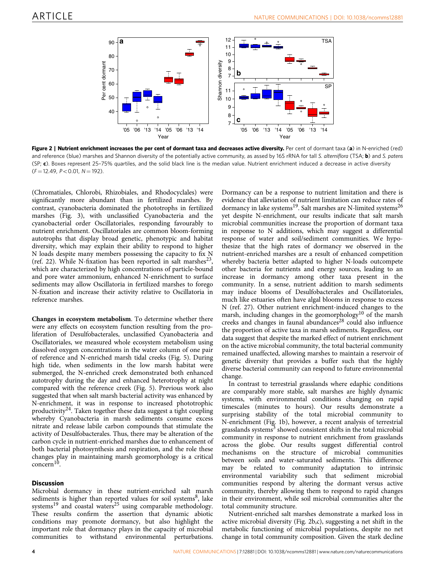<span id="page-3-0"></span>

Figure 2 | Nutrient enrichment increases the per cent of dormant taxa and decreases active diversity. Per cent of dormant taxa (a) in N-enriched (red) and reference (blue) marshes and Shannon diversity of the potentially active community, as assed by 16S rRNA for tall S. alterniflora (TSA; b) and S. patens  $(SP; c)$ . Boxes represent 25-75% quartiles, and the solid black line is the median value. Nutrient enrichment induced a decrease in active diversity  $(F = 12.49, P < 0.01, N = 192).$ 

(Chromatiales, Chlorobi, Rhizobiales, and Rhodocyclales) were significantly more abundant than in fertilized marshes. By contrast, cyanobacteria dominated the phototrophs in fertilized marshes [\(Fig. 3](#page-4-0)), with unclassified Cyanobacteria and the cyanobacterial order Oscillatoriales, responding favourably to nutrient enrichment. Oscillatoriales are common bloom-forming autotrophs that display broad genetic, phenotypic and habitat diversity, which may explain their ability to respond to higher N loads despite many members possessing the capacity to fix N ([ref. 22\)](#page-7-0). While N-fixation has been reported in salt marshes<sup>23</sup>, which are characterized by high concentrations of particle-bound and pore water ammonium, enhanced N-enrichment to surface sediments may allow Oscillatoria in fertilized marshes to forego N-fixation and increase their activity relative to Oscillatoria in reference marshes.

Changes in ecosystem metabolism. To determine whether there were any effects on ecosystem function resulting from the proliferation of Desulfobacterales, unclassified Cyanobacteria and Oscillatoriales, we measured whole ecosystem metabolism using dissolved oxygen concentrations in the water column of one pair of reference and N-enriched marsh tidal creeks ([Fig. 5\)](#page-5-0). During high tide, when sediments in the low marsh habitat were submerged, the N-enriched creek demonstrated both enhanced autotrophy during the day and enhanced heterotrophy at night compared with the reference creek [\(Fig. 5\)](#page-5-0). Previous work also suggested that when salt marsh bacterial activity was enhanced by N-enrichment, it was in response to increased phototrophic productivity<sup>[24](#page-7-0)</sup>. Taken together these data suggest a tight coupling whereby Cyanobacteria in marsh sediments consume excess nitrate and release labile carbon compounds that stimulate the activity of Desulfobacterales. Thus, there may be alteration of the carbon cycle in nutrient-enriched marshes due to enhancement of both bacterial photosynthesis and respiration, and the role these changes play in maintaining marsh geomorphology is a critical concern<sup>[10](#page-7-0)</sup>

### **Discussion**

Microbial dormancy in these nutrient-enriched salt marsh sediments is higher than reported values for soil systems<sup>8</sup>, lake systems<sup>[19](#page-7-0)</sup> and coastal waters<sup>[25](#page-7-0)</sup> using comparable methodology. These results confirm the assertion that dynamic abiotic conditions may promote dormancy, but also highlight the important role that dormancy plays in the capacity of microbial communities to withstand environmental perturbations.

Dormancy can be a response to nutrient limitation and there is evidence that alleviation of nutrient limitation can reduce rates of dormancy in lake systems<sup>[19](#page-7-0)</sup>. Salt marshes are N-limited systems<sup>26</sup> yet despite N-enrichment, our results indicate that salt marsh microbial communities increase the proportion of dormant taxa in response to N additions, which may suggest a differential response of water and soil/sediment communities. We hypothesize that the high rates of dormancy we observed in the nutrient-enriched marshes are a result of enhanced competition whereby bacteria better adapted to higher N-loads outcompete other bacteria for nutrients and energy sources, leading to an increase in dormancy among other taxa present in the community. In a sense, nutrient addition to marsh sediments may induce blooms of Desulfobacterales and Oscillatoriales, much like estuaries often have algal blooms in response to excess N ([ref. 27](#page-7-0)). Other nutrient enrichment-induced changes to the marsh, including changes in the geomorphology<sup>10</sup> of the marsh creeks and changes in faunal abundances<sup>[28](#page-7-0)</sup> could also influence the proportion of active taxa in marsh sediments. Regardless, our data suggest that despite the marked effect of nutrient enrichment on the active microbial community, the total bacterial community remained unaffected, allowing marshes to maintain a reservoir of genetic diversity that provides a buffer such that the highly diverse bacterial community can respond to future environmental change.

In contrast to terrestrial grasslands where edaphic conditions are comparably more stable, salt marshes are highly dynamic systems, with environmental conditions changing on rapid timescales (minutes to hours). Our results demonstrate a surprising stability of the total microbial community to N-enrichment [\(Fig. 1b\)](#page-2-0), however, a recent analysis of terrestrial grasslands systems<sup>[3](#page-7-0)</sup> showed consistent shifts in the total microbial community in response to nutrient enrichment from grasslands across the globe. Our results suggest differential control mechanisms on the structure of microbial communities between soils and water-saturated sediments. This difference may be related to community adaptation to intrinsic environmental variability such that sediment microbial communities respond by altering the dormant versus active community, thereby allowing them to respond to rapid changes in their environment, while soil microbial communities alter the total community structure.

Nutrient-enriched salt marshes demonstrate a marked loss in active microbial diversity (Fig. 2b,c), suggesting a net shift in the metabolic functioning of microbial populations, despite no net change in total community composition. Given the stark decline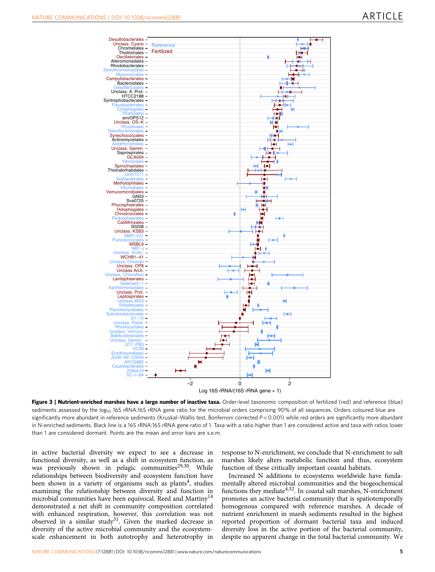<span id="page-4-0"></span>

Figure 3 | Nutrient-enriched marshes have a large number of inactive taxa. Order-level taxonomic composition of fertilized (red) and reference (blue) sediments assessed by the log<sub>10</sub> 16S rRNA:16S rRNA gene ratio for the microbial orders comprising 90% of all sequences. Orders coloured blue are significantly more abundant in reference sediments (Kruskal-Wallis test, Bonferroni corrected  $P < 0.001$ ) while red orders are significantly more abundant in N-enriched sediments. Black line is a 16S rRNA:16S rRNA gene ratio of 1. Taxa with a ratio higher than 1 are considered active and taxa with ratios lower than 1 are considered dormant. Points are the mean and error bars are s.e.m.

in active bacterial diversity we expect to see a decrease in functional diversity, as well as a shift in ecosystem function, as was previously shown in pelagic communities<sup>29,30</sup>. While relationships between biodiversity and ecosystem function have been shown in a variety of organisms such as plants<sup>[4](#page-7-0)</sup>, studies examining the relationship between diversity and function in microbial communities have been equivocal. Reed and Martiny<sup>14</sup> demonstrated a net shift in community composition correlated with enhanced respiration, however, this correlation was not observed in a similar study<sup>[31](#page-7-0)</sup>. Given the marked decrease in diversity of the active microbial community and the ecosystemscale enhancement in both autotrophy and heterotrophy in

response to N-enrichment, we conclude that N-enrichment to salt marshes likely alters metabolic function and thus, ecosystem function of these critically important coastal habitats.

Increased N additions to ecosystems worldwide have fundamentally altered microbial communities and the biogeochemical functions they mediate<sup>4,32</sup>. In coastal salt marshes, N-enrichment promotes an active bacterial community that is spatiotemporally homogenous compared with reference marshes. A decade of nutrient enrichment in marsh sediments resulted in the highest reported proportion of dormant bacterial taxa and induced diversity loss in the active portion of the bacterial community, despite no apparent change in the total bacterial community. We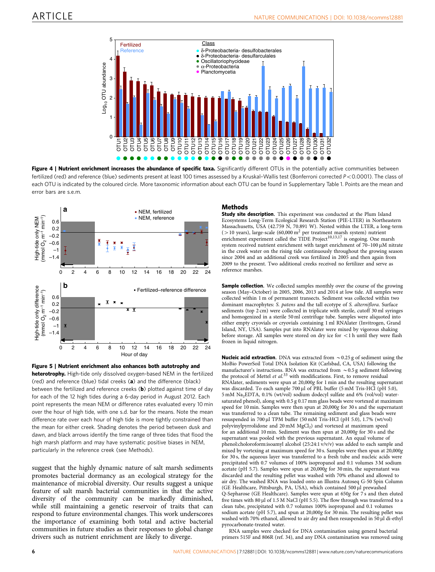<span id="page-5-0"></span>

Figure 4 | Nutrient enrichment increases the abundance of specific taxa. Significantly different OTUs in the potentially active communities between fertilized (red) and reference (blue) sediments present at least 100 times assessed by a Kruskal-Wallis test (Bonferroni corrected  $P < 0.0001$ ). The class of each OTU is indicated by the coloured circle. More taxonomic information about each OTU can be found in Supplementary Table 1. Points are the mean and error bars are s.e.m.



Figure 5 | Nutrient enrichment also enhances both autotrophy and heterotrophy. High-tide only dissolved oxygen-based NEM in the fertilized (red) and reference (blue) tidal creeks (a) and the difference (black) between the fertilized and reference creeks (b) plotted against time of day for each of the 12 high tides during a 6-day period in August 2012. Each point represents the mean NEM or difference rates evaluated every 10 min over the hour of high tide, with one s.d. bar for the means. Note the mean difference rate over each hour of high tide is more tightly constrained than the mean for either creek. Shading denotes the period between dusk and dawn, and black arrows identify the time range of three tides that flood the high marsh platform and may have systematic positive biases in NEM, particularly in the reference creek (see Methods).

suggest that the highly dynamic nature of salt marsh sediments promotes bacterial dormancy as an ecological strategy for the maintenance of microbial diversity. Our results suggest a unique feature of salt marsh bacterial communities in that the active diversity of the community can be markedly diminished, while still maintaining a genetic reservoir of traits that can respond to future environmental changes. This work underscores the importance of examining both total and active bacterial communities in future studies as their responses to global change drivers such as nutrient enrichment are likely to diverge.

### Methods

Study site description. This experiment was conducted at the Plum Island Ecosystems Long-Term Ecological Research Station (PIE-LTER) in Northeastern Massachusetts, USA (42.759 N, 70.891 W). Nested within the LTER, a long-term ( $>$ 10 years), large-scale (60,000 m<sup>2</sup> per treatment marsh system) nutrient enrichment experiment called the TIDE Project<sup>[10,13,17](#page-7-0)</sup> is ongoing. One marsh system received nutrient enrichment with target enrichment of 70–100  $\mu$ M nitrate in the creek water on the rising tide continuously throughout the growing season since 2004 and an additional creek was fertilized in 2005 and then again from 2009 to the present. Two additional creeks received no fertilizer and serve as reference marshes.

Sample collection. We collected samples monthly over the course of the growing season (May–October) in 2005, 2006, 2013 and 2014 at low tide. All samples were collected within 1 m of permanent transects. Sediment was collected within two dominant macrophytes: S. patens and the tall ecotype of S. alterniflora. Surface sediments (top 2 cm) were collected in triplicate with sterile, cutoff 30 ml syringes and homogenized in a sterile 50 ml centrifuge tube. Samples were aliquoted into either empty cryovials or cryovials containing 1 ml RNAlater (Invitrogen, Grand Island, NY, USA). Samples put into RNAlater were mixed by vigorous shaking before storage. All samples were stored on dry ice for  $\langle 1 \text{ h}$  until they were flash frozen in liquid nitrogen.

**Nucleic acid extraction.** DNA was extracted from  $\sim$  0.25 g of sediment using the MoBio PowerSoil Total DNA Isolation Kit (Carlsbad, CA, USA) following the manufacturer's instructions. RNA was extracted from  $\sim$  0.5 g sediment following the protocol of Mettel *et al.*<sup>[33](#page-7-0)</sup> with modifications. First, to remove residual RNAlater, sediments were spun at 20,000g for 1 min and the resulting supernatant was discarded. To each sample 700 µl of PBL buffer (5 mM Tris-HCl (pH 5.0), 5 mM Na2EDTA, 0.1% (wt/vol) sodium dodecyl sulfate and 6% (vol/vol) watersaturated phenol), along with 0.5 g 0.17 mm glass beads were vortexed at maximum speed for 10 min. Samples were then spun at 20,000g for 30 s and the supernatant was transferred to a clean tube. The remaining sediment and glass beads were resuspended in  $700 \mu$ l TPM buffer (50 mM Tris-HCl (pH 5.0), 1.7% (wt/vol) polyvinylpyrrolidone and 20 mM MgCl<sub>2</sub>) and vortexed at maximum speed for an additional 10 min. Sediment was then spun at 20,000g for 30 s and the supernatant was pooled with the previous supernatant. An equal volume of phenol:choloroform:isoamyl alcohol (25:24:1 v/v/v) was added to each sample and mixed by vortexing at maximum speed for 30 s. Samples were then spun at 20,000g for 30 s, the aqueous layer was transferred to a fresh tube and nucleic acids were precipitated with 0.7 volumes of 100% isopropanol and 0.1 volumes 3 M sodium acetate (pH 5.7). Samples were spun at  $20,000g$  for 30 min, the supernatant was discarded and the resulting pellet was washed with 70% ethanol and allowed to air dry. The washed RNA was loaded onto an Illustra Autoseq G-50 Spin Column (GE Healthcare, Pittsburgh, PA, USA), which contained 500 ml prewashed Q-Sepharose (GE Healthcare). Samples were spun at 650g for 7s and then eluted five times with 80  $\mu$ l of 1.5 M NaCl (pH 5.5). The flow through was transferred to a clean tube, precipitated with 0.7 volumes 100% isopropanol and 0.1 volumes sodium acetate (pH 5.7), and spun at 20,000g for 30 min. The resulting pellet was washed with 70% ethanol, allowed to air dry and then resuspended in 50 µl di-ethyl pyrocarbonate-treated water.

RNA samples were checked for DNA contamination using general bacterial primers 515F and 806R ([ref. 34\)](#page-7-0), and any DNA contamination was removed using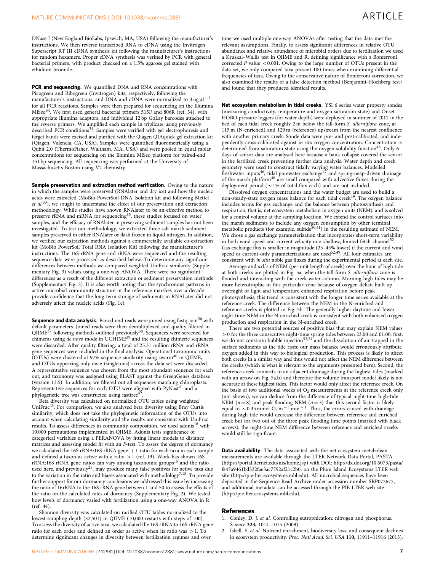<span id="page-6-0"></span>DNase I (New England BioLabs, Ipswich, MA, USA) following the manufacturer's instructions. We then reverse transcribed RNA to cDNA using the Invitrogen Superscript RT III cDNA synthesis kit following the manufacturer's instructions for random hexamers. Proper cDNA synthesis was verified by PCR with general bacterial primers, with product checked on a 1.5% agarose gel stained with ethidium bromide.

PCR and sequencing. We quantified DNA and RNA concentrations with Picogreen and Ribogreen (Invitrogen) kits, respectively, following the manufacturer's instructions, and DNA and cDNA were normalized to  $3$  ng  $\mu$ l<sup>-1</sup> for all PCR reactions. Samples were then prepared for sequencing on the Illumina MiSeq[34](#page-7-0). We first used general bacterial primers 515F and 806R [\(ref. 34\)](#page-7-0), with appropriate Illumina adaptors, and individual 12 bp GoLay barcodes attached to the reverse primers. We amplified each sample in triplicate using previously described PCR conditions<sup>34</sup>. Samples were verified with gel electrophoresis and target bands were excised and purified with the Qiagen QIAquick gel extraction kit (Qiagen, Valencia, CA, USA). Samples were quantified fluorometrically using a Qubit 2.0 (ThermoFisher, Waltham, MA, USA) and were pooled in equal molar concentrations for sequencing on the Illumina MiSeq platform for paired-end 151 bp sequencing. All sequencing was performed at the University of Massachusetts Boston using V2 chemistry.

Sample preservation and extraction method verification. Owing to the nature in which the samples were preserved (RNAlater and dry ice) and how the nucleic acids were extracted (MoBio PowerSoil DNA Isolation kit and following Mettel  $et$   $al$ <sup>[33](#page-7-0)</sup>), we sought to understand the effect of our preservation and extraction methodology. While studies have shown RNAlater to be an effective method to<br>preserve rRNA and mRNA for sequencing<sup>35</sup>, these studies focused on water samples, and the efficacy of RNAlater in preserving sediment samples has not been investigated. To test our methodology, we extracted three salt marsh sediment samples preserved in either RNAlater or flash frozen in liquid nitrogen. In addition, we verified our extraction methods against a commercially available co-extraction kit (MoBio PowerSoil Total RNA Isolation Kit) following the manufacturer's instructions. The 16S rRNA gene and rRNA were sequenced and the resulting sequence data were processed as described below. To determine any significant differences between methods we compared weighted UniFrac similarity (Supplementary Fig. 3) values using a one-way ANOVA. There were no significant differences as a result of the different extraction or sediment preservation methods (Supplementary Fig. 3). It is also worth noting that the synchronous patterns in active microbial community structure in the reference marshes over a decade provide confidence that the long-term storage of sediments in RNALater did not adversely affect the nucleic acids ([Fig. 1c\)](#page-2-0).

**Sequence and data analysis.** Paired-end reads were joined using fastq-join<sup>[36](#page-7-0)</sup> with default parameters. Joined reads were then demultiplexed and quality filtered in QIIME<sup>[37](#page-7-0)</sup> following methods outlined previously<sup>38</sup>. Sequences were screened for chimeras using de novo mode in UCHIME<sup>[39](#page-7-0)</sup> and the resulting chimeric sequences were discarded. After quality filtering, a total of 25.31 million rRNA and rRNA gene sequences were included in the final analysis. Operational taxonomic units<br>(OTUs) were clustered at 97% sequence similarity using swarm<sup>[40](#page-7-0)</sup> in QIIME, and OTUs appearing only once (singletons) across the data set were discarded. A representative sequence was chosen from the most abundant sequence for each out, and taxonomy was assigned using BLAST against the GreenGenes database (version 13.5). In addition, we filtered out all sequences matching chloroplasts. Representative sequences for each OTU were aligned with PyNast<sup>[41](#page-7-0)</sup> and a phylogenetic tree was constructed using fasttree<sup>42</sup>.

Beta diversity was calculated on normalized OTU tables using weighted UniFrac<sup>43</sup>. For comparison, we also analysed beta diversity using Bray Curtis similarity, which does not take the phylogenetic information of the OTUs into account when calculating similarity and the results are consistent with UniFrac results. To assess differences in community composition, we used adonis<sup>[18](#page-7-0)</sup> with 10,000 permutations implemented in QIIME. Adonis tests significance of categorical variables using a PERANOVA by fitting linear models to distance matrices and assessing model fit with an F-test. To assess the degree of dormancy we calculated the 16S rRNA:16S rRNA gene  $+1$  ratio for each taxa in each sample and defined a taxon as active with a ratio  $>1$  [\(ref. 19](#page-7-0)). Work has shown 16S  $rRNA:16S$  rRNA gene ratios can vary among taxonomic groups<sup>15</sup> and the ratio used here, and previously<sup>25</sup>, may produce many false positives for active taxa due to the variation in the ratio and biases associated with methodology<sup>[7,15](#page-7-0)</sup>. To provide further support for our dormancy conclusions we addressed this issue by increasing the ratio of 16rRNA to the 16S rRNA gene between 1 and 50 to assess the effects of the ratio on the calculated rates of dormancy (Supplementary Fig. 2). We tested how levels of dormancy varied with fertilization using a one-way ANOVA in R [\(ref. 44](#page-7-0)).

Shannon diversity was calculated on rarified OTU tables normalized to the lowest sampling depth (32,501) in QIIME (10,000 restarts with steps of 100). To assess the diversity of active taxa, we calculated the 16S rRNA to 16S rRNA gene ratio for each order and defined an order as active when its ratio was  $>1$ . To determine significant changes in diversity between fertilization regimes and over

time we used multiple one-way ANOVAs after testing that the data met the relevant assumptions. Finally, to assess significant differences in relative OTU abundance and relative abundance of microbial orders due to fertilization we used a Kruskal–Wallis test in QIIME and R, defining significance with a Bonferroni corrected P value  $< 0.001$ . Owing to the large number of OTUs present in the data set, we only compared taxa present 100 times when examining differential frequencies of taxa. Owing to the conservative nature of Bonferroni correction, we also examined the results of a false detection method (Benjamini–Hochberg test) and found that they produced identical results.

Net ecosystem metabolism in tidal creeks. YSI 6 series water property sondes (measuring conductivity, temperature and oxygen saturation state) and Onset HOBO pressure loggers (for water depth) were deployed in summer of 2012 in the bed of each tidal creek roughly 2 m below the tall-form S. alterniflora zone, at 115 m (N-enriched) and 129 m (reference) upstream from the nearest confluence with another primary creek. Sonde data were pre- and post-calibrated, and independently cross-calibrated against in situ oxygen concentration. Concentration is determined from saturation state using the oxygen solubility function<sup>[45](#page-7-0)</sup>. Only 6 days of sensor data are analysed here because a bank collapse covered the sensor in the fertilized creek preventing further data analysis. Water depth and creek geometry were used to construct tidally varying water balances. Modelled<br>freshwater inputs<sup>46</sup>, tidal porewater exchange<sup>[47](#page-7-0)</sup> and spring-neap-driven drainage of the marsh platform[48](#page-7-0) are small compared with advective fluxes during the deployment period ( $\sim$  1% of total flux each) and are not included.

Dissolved oxygen concentrations and the water budget are used to build a non-steady-state oxygen mass balance for each tidal creek<sup>49</sup>. The oxygen balance includes terms for gas exchange and the balance between photosynthesis and respiration, that is, net ecosystem metabolism in oxygen units (NEM), and is solved for a control volume at the sampling location. We extend the control surfaces into the marsh sediments to include any oxygen consumption by other terminal metabolic products (for example, sulfide<sup>50,51</sup>) in the resulting estimate of NEM. We chose a gas exchange parameterization that incorporates short-term variability in both wind speed and current velocity in a shallow, limited fetch channel<sup>5.</sup> Gas exchange flux is smaller in magnitude (25–45% lower) if the current and wind speed or current-only parameterizations are used<sup>52,49</sup>. All four estimates are consistent with in situ noble gas fluxes during the experimental period at each site.

Average and s.d.'s of NEM (per unit length of creek) over the hour of high tide at both creeks are plotted in [Fig. 5a,](#page-5-0) when the tall-form S. alterniflora zone is flooded and interacting with the creek water column. Morning high tides may be more heterotrophic in this particular zone because of oxygen deficit built up overnight or light and temperature enhanced respiration before peak photosynthesis; this trend is consistent with the longer time series available at the reference creek. The difference between the NEM in the N-enriched and reference creeks is plotted in [Fig. 5b](#page-5-0). The generally higher daytime and lower night-time NEM in the N-enriched creek is consistent with both enhanced oxygen production and respiration in the N-enriched creek.

There are two potential sources of positive bias that may explain NEM values  $>$  0 for the three consecutive night-time spring tides between 23:00 and 01:00: first, we do not constrain bubble injection<sup>[53,54](#page-7-0)</sup> and the dissolution of air trapped in the surface sediments as the tide rises; our mass balance would erroneously attribute oxygen added in this way to biological production. This process is likely to affect both creeks in a similar way and thus would not affect the NEM difference between the creeks (which is what is relevant to the arguments presented here). Second, the reference creek connects to an adjacent drainage during the highest tides (marked with an arrow on [Fig. 5a,b](#page-5-0)) and therefore the volume transport model likely is not accurate at these highest tides. This factor would only affect the reference creek. On the basis of two additional weeks of  $O<sub>2</sub>$  measurements at the reference creek only (not shown), we can deduce from the difference of typical night-time high-tide NEM ( $n=8$ ) and peak flooding NEM ( $n=3$ ) that this second factor is likely equal to  $\sim$  0.35 mmol O<sub>2</sub> m<sup>-1</sup> min<sup>-1</sup>. Thus, the errors caused with drainage during high tide would decrease the difference between reference and enriched creek but for two out of the three peak flooding time points (marked with black arrows), the night-time NEM difference between reference and enriched creeks would still be significant.

Data availability. The data associated with the net ecosystem metabolism measurements are available through the LTER Network Data Portal, PASTA [\(https://portal.lternet.edu/nis/home.jsp\)](https://portal.lternet.edu/nis/home.jsp) with [DOI: http://dx.doi.org/10.6073/pasta/](http://dx.doi.org/10.6073/pasta/fe47a9461bd332fae3ac7792af21c2b0) [fe47a9461bd332fae3ac7792af21c2b0,](http://dx.doi.org/10.6073/pasta/fe47a9461bd332fae3ac7792af21c2b0) on the Plum Island Ecosystems LTER web site ([http://pie-lter.ecosystems.mbl.edu\)](http://pie-lter.ecosystems.mbl.edu). All microbial sequences have been deposited in the Sequence Read Archive under accession number SRP072677, and additional metadata can be accessed through the PIE LTER web site [\(http://pie-lter.ecosystems.mbl.edu](http://pie-lter.ecosystems.mbl.edu)).

#### References

- Conley, D. J. et al. Controlling eutrophication: nitrogen and phosphorus. Science 323, 1014-1015 (2009).
- 2. Isbell, F. et al. Nutrient enrichment, biodiversity loss, and consequent declines in ecosystem productivity. Proc. Natl Acad. Sci. USA 110, 11911–11916 (2013).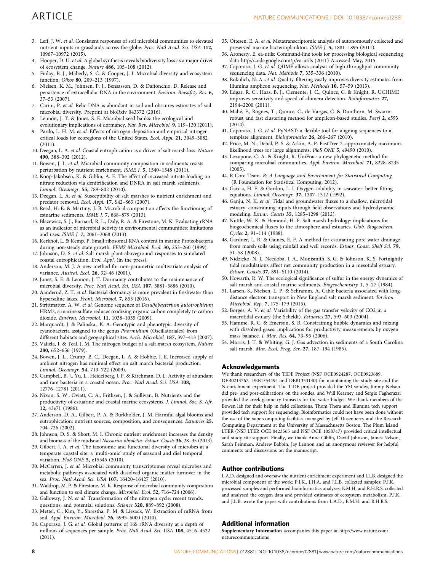- <span id="page-7-0"></span>3. Leff, J. W. et al. Consistent responses of soil microbial communities to elevated nutrient inputs in grasslands across the globe. Proc. Natl Acad. Sci. USA 112, 10967–10972 (2015).
- 4. Hooper, D. U. et al. A global synthesis reveals biodiversity loss as a major driver of ecosystem change. Nature 486, 105–108 (2012).
- 5. Finlay, B. J., Maberly, S. C. & Cooper, J. I. Microbial diversity and ecosystem function. Oikos 80, 209–213 (1997).
- 6. Nielsen, K. M., Johnsen, P. J., Bensasson, D. & Daffonchio, D. Release and persistence of extracellular DNA in the environment. Environ. Biosafety Res. 6, 37–53 (2007).
- 7. Carini, P. et al. Relic DNA is abundant in soil and obscures estimates of soil microbial diversity. Preprint at bioRxiv 043372 (2016).
- Lennon, J. T. & Jones, S. E. Microbial seed banks: the ecological and evolutionary implications of dormancy. Nat. Rev. Microbiol. 9, 119–130 (2011).
- 9. Pardo, L. H. M. et al. Effects of nitrogen deposition and empirical nitrogen critical loads for ecoregions of the United States. Ecol. Appl. 21, 3049–3082 (2011).
- 10. Deegan, L. A. et al. Coastal eutrophication as a driver of salt marsh loss. Nature 490, 388–392 (2012).
- 11. Bowen, J. L. et al. Microbial community composition in sediments resists perturbation by nutrient enrichment. ISME J. 5, 1540–1548 (2011).
- 12. Koop-Jakobsen, K. & Giblin, A. E. The effect of increased nitrate loading on nitrate reduction via denitrification and DNRA in salt marsh sediments. Limnol. Oceanogr. 55, 789–802 (2010).
- 13. Deegan, L. A. et al. Susceptibility of salt marshes to nutrient enrichment and predator removal. Ecol. Appl. 17, S42–S63 (2007).
- 14. Reed, H. E. & Martiny, J. B. Microbial composition affects the functioning of estuarine sediments. ISME J. 7, 868–879 (2013).
- 15. Blazewicz, S. J., Barnard, R. L., Daly, R. A. & Firestone, M. K. Evaluating rRNA as an indicator of microbial activity in environmental communities: limitations and uses. ISME J. 7, 2061–2068 (2013).
- 16. Kerkhof, L. & Kemp, P. Small ribosomal RNA content in marine Proteobacteria during non-steady state growth. FEMS Microbiol. Ecol. 30, 253–260 (1999).
- 17. Johnson, D. S. et al. Salt marsh plant aboveground responses to simulated coastal eutrophication. Ecol. Appl. (in the press).
- 18. Anderson, M. J. A new method for non-parametric multivariate analysis of variance. Austral. Ecol. 26, 32–46 (2001).
- 19. Jones, S. E. & Lennon, J. T. Dormancy contributes to the maintenance of microbial diversity. Proc. Natl Acad. Sci. USA 107, 5881–5886 (2010).
- 20. Aanderud, Z. T. et al. Bacterial dormancy is more prevalent in freshwater than hypersaline lakes. Front. Microbiol. 7, 853 (2016).
- 21. Strittmatter, A. W. et al. Genome sequence of Desulfobacterium autotrophicum HRM2, a marine sulfate reducer oxidizing organic carbon completely to carbon dioxide. Environ. Microbiol. 11, 1038–1055 (2009).
- 22. Marquardt, J. & Palinska., K. A. Genotypic and phenotypic diversity of cyanobacteria assigned to the genus Phormidium (Oscillatoriales) from different habitats and geographical sites. Arch. Microbiol. 187, 397–413 (2007).
- 23. Valiela, I. & Teal, J. M. The nitrogen budget of a salt marsh ecosystem. Nature 280, 652–656 (1979).
- 24. Bowen, J. L., Crump, B. C., Deegan, L. A. & Hobbie, J. E. Increased supply of ambient nitrogen has minimal effect on salt march bacterial production. Limnol. Oceanogr. 54, 713–722 (2009).
- 25. Campbell, B. J., Yu, L., Heidelberg, J. F. & Kirchman, D. L. Activity of abundant and rare bacteria in a coastal ocean. Proc. Natl Acad. Sci. USA 108, 12776–12781 (2011).
- 26. Nixon, S. W., Oviatt, C. A., Frithsen, J. & Sullivan, B. Nutrients and the productivity of estuarine and coastal marine ecosystems. J. Limnol. Soc. S. Afr. 12, 43e71 (1986).
- 27. Anderson, D. A., Gilbert, P. A. & Burkholder, J. M. Harmful algal blooms and eutrophication: nutrient sources, composition, and consequences. Estuaries 25, 704–726 (2002).
- 28. Johnson, D. S. & Short, M. I. Chronic nutrient enrichment increases the density and biomass of the mudsnail Nassarius obsoletus. Estuar. Coasts 36, 28–35 (2013).
- 29. Gilbert, J. A. et al. The taxonomic and functional diversity of microbes at a temperate coastal site: a 'multi-omic' study of seasonal and diel temporal variation. PloS ONE 5, e15545 (2010).
- 30. McCarren, J. et al. Microbial community transcriptomes reveal microbes and metabolic pathways associated with dissolved organic matter turnover in the sea. Proc. Natl Acad. Sci. USA 107, 16420–16427 (2010).
- 31. Waldrop, M. P. & Firestone, M. K. Response of microbial community composition and function to soil climate change. Microbiol. Ecol. 52, 716–724 (2006).
- 32. Galloway, J. N. et al. Transformation of the nitrogen cycle: recent trends, questions, and potential solutions. Science 320, 889–892 (2008).
- 33. Mettel, C., Kim, Y., Shrestha, P. M. & Liesack, W. Extraction of mRNA from soil. Appl. Environ. Microbiol. 76, 5995–6000 (2010).
- 34. Caporaso, J. G. et al. Global patterns of 16S rRNA diversity at a depth of millions of sequences per sample. Proc. Natl Acad. Sci. USA 108, 4516–4522 (2011).
- 35. Ottesen, E. A. et al. Metatranscriptomic analysis of autonomously collected and preserved marine bacterioplankton. ISME J. 5, 1881–1895 (2011).
- 36. Aronesty, E. ea-utils: Command-line tools for processing biological sequencing data<http://code.google.com/p/ea-utils> (2011) Accessed May, 2015.
- 37. Caporaso, J. G. et al. QIIME allows analysis of high-throughput community sequencing data. Nat. Methods 7, 335–336 (2010).
- 38. Bokulich, N. A. et al. Quality-filtering vastly improves diversity estimates from Illumina amplicon sequencing. Nat. Methods 10, 57–59 (2013).
- 39. Edgar, R. C., Haas, B. J., Clemente, J. C., Quince, C. & Knight, R. UCHIME improves sensitivity and speed of chimera detection. Bioinformatics 27, 2194–2200 (2011).
- 40. Mahé, F., Rognes, T., Quince, C., de Vargas, C. & Dunthorn, M. Swarm: robust and fast clustering method for amplicon-based studies. PeerJ 2, e593 (2014).
- 41. Caporaso, J. G. et al. PyNAST: a flexible tool for aligning sequences to a template alignment. Bioinformatics 26, 266-267 (2010).
- 42. Price, M. N., Dehal, P. S. & Arkin, A. P. FastTree 2-approximately maximumlikelihood trees for large alignments. PloS ONE 5, e9490 (2010).
- 43. Lozupone, C. A. & Knight, R. UniFrac: a new phylogenetic method for comparing microbial communities. Appl. Environ. Microbiol. 71, 8228–8235 (2005).
- 44. R Core Team. R: A Language and Environment for Statistical Computing (R Foundation for Statistical Computing, 2012).
- 45. Garcia, H. E. & Gordon, L. I. Oxygen solubility in seawater: better fitting equations. Limnol. Oceanogr. 37, 1307–1312 (1992).
- 46. Ganju, N. K. et al. Tidal and groundwater fluxes to a shallow, microtidal estuary: constraining inputs through field observations and hydrodynamic modeling. Estuar. Coasts 35, 1285–1298 (2012).
- 47. Nuttle, W. K. & Hemond, H. F. Salt marsh hydrology: implications for biogeochemical fluxes to the atmosphere and estuaries. Glob. Biogeochem. Cycles 2, 91–114 (1988).
- 48. Gardner, L. R. & Gaines, E. F. A method for estimating pore water drainage from marsh soils using rainfall and well records. Estuar. Coast. Shelf Sci. 79, 51–58 (2008).
- 49. Nidzieko, N. J., Needoba, J. A., Monismith, S. G. & Johnson, K. S. Fortnightly tidal modulations affect net community production in a mesotidal estuary. Estuar. Coasts 37, S91–S110 (2014).
- 50. Howarth, R. W. The ecological significance of sulfur in the energy dynamics of salt marsh and coastal marine sediments. Biogeochemistry 1, 5–27 (1984).
- 51. Larsen, S., Nielsen, L. P. & Schramm, A. Cable bacteria associated with longdistance electron transport in New England salt marsh sediment. Environ. Microbiol. Rep. 7, 175–179 (2015).
- 52. Borges, A. V. et al. Variability of the gas transfer velocity of CO2 in a macrotidal estuary (the Scheldt). Estuaries 27, 593–603 (2004).
- 53. Hamme, R. C. & Emerson, S. R. Constraining bubble dynamics and mixing with dissolved gases: implications for productivity measurements by oxygen mass balance. J. Mar. Res. 64, 73–95 (2006).
- 54. Morris, J. T. & Whiting, G. J. Gas advection in sediments of a South Carolina salt marsh. Mar. Ecol. Prog. Ser. 27, 187–194 (1985).

#### Acknowledgements

We thank researchers of the TIDE Project (NSF OCE0924287, OCE0923689, DEB0213767, DEB1354494 and DEB1353140) for maintaining the study site and the N-enrichment experiment. The TIDE project provided the YSI sondes, Jimmy Nelson did pre- and post-calibrations on the sondes, and Will Kearney and Sergio Fagherazzi provided the creek geometry transects for the water budget. We thank members of the Bowen lab for their help in field collections. Thom Thera and Illumina tech support provided tech support for sequencing. Bioinformatics could not have been done without the use of the supercomputing facilities managed by Jeff Dusenberry and the Research Computing Department at the University of Massachusetts Boston. The Plum Island LTER (NSF LTER OCE 0423565 and NSF OCE 1058747) provided critical intellectual and study site support. Finally, we thank Anne Giblin, David Johnson, James Nelson, Sarah Feinman, Andrew Babbin, Jay Lennon and an anonymous reviewer for helpful comments and discussions on the manuscript.

#### Author contributions

L.A.D. designed and oversaw the nutrient enrichment experiment and J.L.B. designed the microbial component of the work; P.J.K., J.H.A. and J.L.B. collected samples; P.J.K. processed samples and performed bioinformatics analyses; E.M.H. and R.H.R.S. collected and analysed the oxygen data and provided estimates of ecosystem metabolism; P.J.K. and J.L.B. wrote the paper with contributions from L.A.D., E.M.H. and R.H.R.S.

#### Additional information

Supplementary Information accompanies this paper at [http://www.nature.com/](http://www.nature.com/naturecommunications) [naturecommunications](http://www.nature.com/naturecommunications)